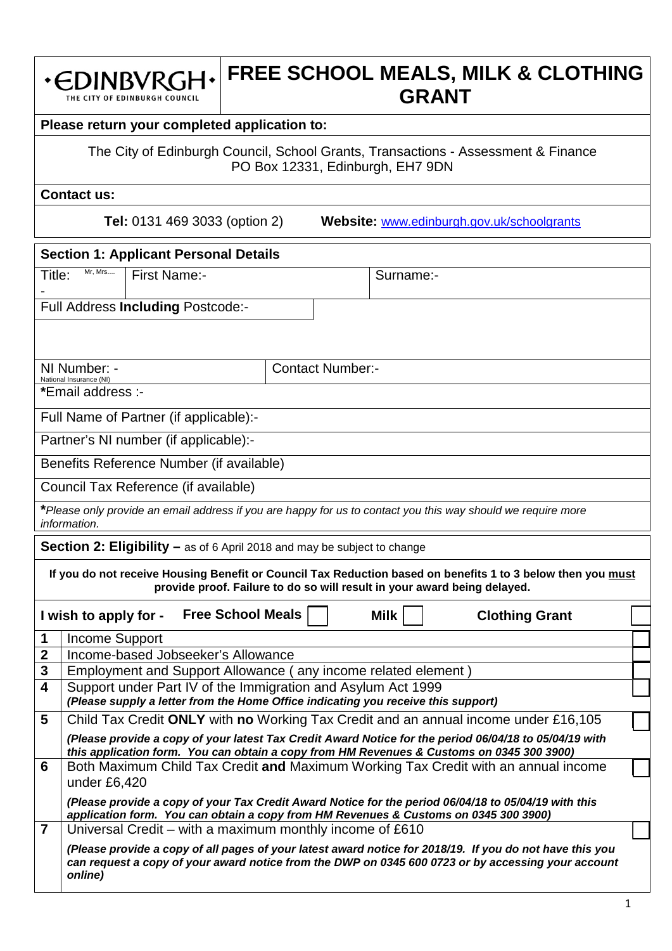#### **FREE SCHOOL MEALS, MILK & CLOTHING**  · EDINBVRGH· **GRANT** THE CITY OF EDINBURGH COUNCIL

# **Please return your completed application to:**

The City of Edinburgh Council, School Grants, Transactions - Assessment & Finance PO Box 12331, Edinburgh, EH7 9DN

**Contact us:**

**Tel:** 0131 469 3033 (option 2) **Website:** [www.edinburgh.gov.uk/schoolgrants](http://www.edinburgh.gov.uk/schoolgrants)

|                         | <b>Section 1: Applicant Personal Details</b>                                      |                                                                                                                               |                                                                                 |                         |                                    |                                                                                                                                                                                                                |  |  |  |  |
|-------------------------|-----------------------------------------------------------------------------------|-------------------------------------------------------------------------------------------------------------------------------|---------------------------------------------------------------------------------|-------------------------|------------------------------------|----------------------------------------------------------------------------------------------------------------------------------------------------------------------------------------------------------------|--|--|--|--|
| Title:                  | Mr, Mrs                                                                           | <b>First Name:-</b>                                                                                                           |                                                                                 |                         | Surname:-                          |                                                                                                                                                                                                                |  |  |  |  |
|                         |                                                                                   |                                                                                                                               | Full Address Including Postcode:-                                               |                         |                                    |                                                                                                                                                                                                                |  |  |  |  |
|                         |                                                                                   |                                                                                                                               |                                                                                 |                         |                                    |                                                                                                                                                                                                                |  |  |  |  |
|                         |                                                                                   |                                                                                                                               |                                                                                 |                         |                                    |                                                                                                                                                                                                                |  |  |  |  |
|                         | NI Number: -<br>National Insurance (NI)                                           |                                                                                                                               |                                                                                 | <b>Contact Number:-</b> |                                    |                                                                                                                                                                                                                |  |  |  |  |
|                         | *Email address :-                                                                 |                                                                                                                               |                                                                                 |                         |                                    |                                                                                                                                                                                                                |  |  |  |  |
|                         |                                                                                   |                                                                                                                               | Full Name of Partner (if applicable):-                                          |                         |                                    |                                                                                                                                                                                                                |  |  |  |  |
|                         |                                                                                   |                                                                                                                               | Partner's NI number (if applicable):-                                           |                         |                                    |                                                                                                                                                                                                                |  |  |  |  |
|                         |                                                                                   |                                                                                                                               | Benefits Reference Number (if available)                                        |                         |                                    |                                                                                                                                                                                                                |  |  |  |  |
|                         |                                                                                   |                                                                                                                               | Council Tax Reference (if available)                                            |                         |                                    |                                                                                                                                                                                                                |  |  |  |  |
|                         | information.                                                                      |                                                                                                                               |                                                                                 |                         |                                    | *Please only provide an email address if you are happy for us to contact you this way should we require more                                                                                                   |  |  |  |  |
|                         |                                                                                   |                                                                                                                               | <b>Section 2: Eligibility – as of 6 April 2018 and may be subject to change</b> |                         |                                    |                                                                                                                                                                                                                |  |  |  |  |
|                         |                                                                                   |                                                                                                                               |                                                                                 |                         |                                    | If you do not receive Housing Benefit or Council Tax Reduction based on benefits 1 to 3 below then you must                                                                                                    |  |  |  |  |
|                         |                                                                                   |                                                                                                                               |                                                                                 |                         |                                    | provide proof. Failure to do so will result in your award being delayed.                                                                                                                                       |  |  |  |  |
|                         | I wish to apply for -                                                             |                                                                                                                               | <b>Free School Meals</b>                                                        |                         | <b>Milk</b>                        | <b>Clothing Grant</b>                                                                                                                                                                                          |  |  |  |  |
| 1                       | Income Support                                                                    |                                                                                                                               |                                                                                 |                         |                                    |                                                                                                                                                                                                                |  |  |  |  |
| 2<br>3                  |                                                                                   |                                                                                                                               |                                                                                 |                         | Income-based Jobseeker's Allowance |                                                                                                                                                                                                                |  |  |  |  |
| $\overline{\mathbf{4}}$ |                                                                                   | Employment and Support Allowance (any income related element)<br>Support under Part IV of the Immigration and Asylum Act 1999 |                                                                                 |                         |                                    |                                                                                                                                                                                                                |  |  |  |  |
|                         | (Please supply a letter from the Home Office indicating you receive this support) |                                                                                                                               |                                                                                 |                         |                                    |                                                                                                                                                                                                                |  |  |  |  |
|                         |                                                                                   |                                                                                                                               |                                                                                 |                         |                                    |                                                                                                                                                                                                                |  |  |  |  |
| 5                       |                                                                                   |                                                                                                                               |                                                                                 |                         |                                    | Child Tax Credit ONLY with no Working Tax Credit and an annual income under £16,105                                                                                                                            |  |  |  |  |
|                         |                                                                                   |                                                                                                                               |                                                                                 |                         |                                    | (Please provide a copy of your latest Tax Credit Award Notice for the period 06/04/18 to 05/04/19 with                                                                                                         |  |  |  |  |
| 6                       |                                                                                   |                                                                                                                               |                                                                                 |                         |                                    | this application form. You can obtain a copy from HM Revenues & Customs on 0345 300 3900)<br>Both Maximum Child Tax Credit and Maximum Working Tax Credit with an annual income                                |  |  |  |  |
|                         | under £6,420                                                                      |                                                                                                                               |                                                                                 |                         |                                    |                                                                                                                                                                                                                |  |  |  |  |
|                         |                                                                                   |                                                                                                                               |                                                                                 |                         |                                    | (Please provide a copy of your Tax Credit Award Notice for the period 06/04/18 to 05/04/19 with this<br>application form. You can obtain a copy from HM Revenues & Customs on 0345 300 3900)                   |  |  |  |  |
| $\overline{7}$          |                                                                                   |                                                                                                                               | Universal Credit – with a maximum monthly income of £610                        |                         |                                    |                                                                                                                                                                                                                |  |  |  |  |
|                         | online)                                                                           |                                                                                                                               |                                                                                 |                         |                                    | (Please provide a copy of all pages of your latest award notice for 2018/19. If you do not have this you<br>can request a copy of your award notice from the DWP on 0345 600 0723 or by accessing your account |  |  |  |  |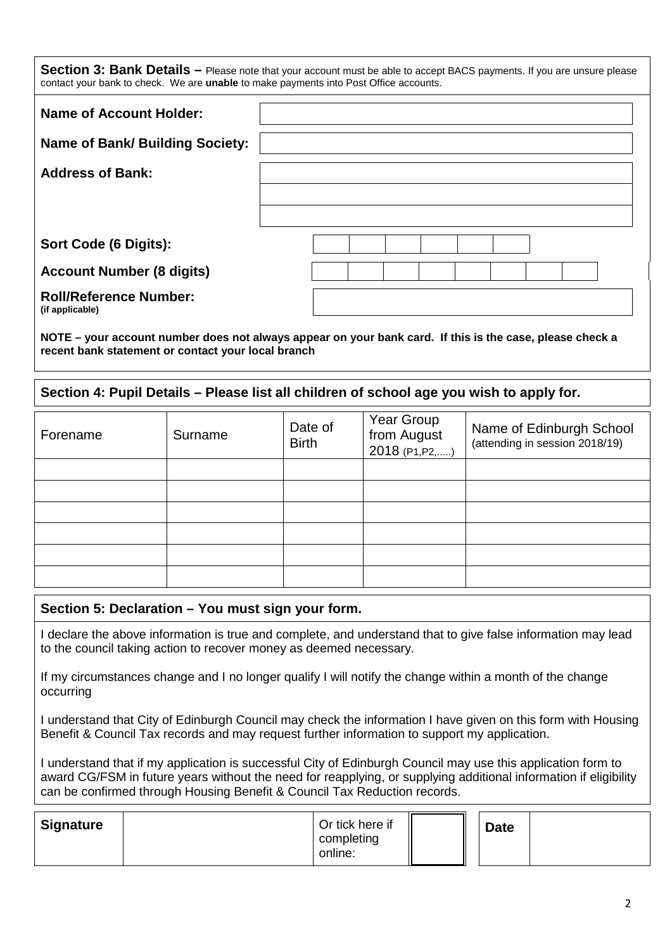**Section 3: Bank Details** – Please note that your account must be able to accept BACS payments. If you are unsure please contact your bank to check. We are **unable** to make payments into Post Office accounts.

| <b>Name of Account Holder:</b>                   |  |
|--------------------------------------------------|--|
| <b>Name of Bank/ Building Society:</b>           |  |
| <b>Address of Bank:</b>                          |  |
|                                                  |  |
| Sort Code (6 Digits):                            |  |
| <b>Account Number (8 digits)</b>                 |  |
| <b>Roll/Reference Number:</b><br>(if applicable) |  |

**NOTE – your account number does not always appear on your bank card. If this is the case, please check a recent bank statement or contact your local branch**

# **Section 4: Pupil Details – Please list all children of school age you wish to apply for.**

| Forename | Surname | Date of<br><b>Birth</b> | Year Group<br>from August<br>2018 (P1, P2, ) | Name of Edinburgh School<br>(attending in session 2018/19) |
|----------|---------|-------------------------|----------------------------------------------|------------------------------------------------------------|
|          |         |                         |                                              |                                                            |
|          |         |                         |                                              |                                                            |
|          |         |                         |                                              |                                                            |
|          |         |                         |                                              |                                                            |
|          |         |                         |                                              |                                                            |
|          |         |                         |                                              |                                                            |

# **Section 5: Declaration – You must sign your form.**

I declare the above information is true and complete, and understand that to give false information may lead to the council taking action to recover money as deemed necessary.

If my circumstances change and I no longer qualify I will notify the change within a month of the change occurring

I understand that City of Edinburgh Council may check the information I have given on this form with Housing Benefit & Council Tax records and may request further information to support my application.

I understand that if my application is successful City of Edinburgh Council may use this application form to award CG/FSM in future years without the need for reapplying, or supplying additional information if eligibility can be confirmed through Housing Benefit & Council Tax Reduction records.

| <b>Signature</b> | Or tick here if<br>completing |  | <b>Date</b> |  |
|------------------|-------------------------------|--|-------------|--|
|                  | online:                       |  |             |  |